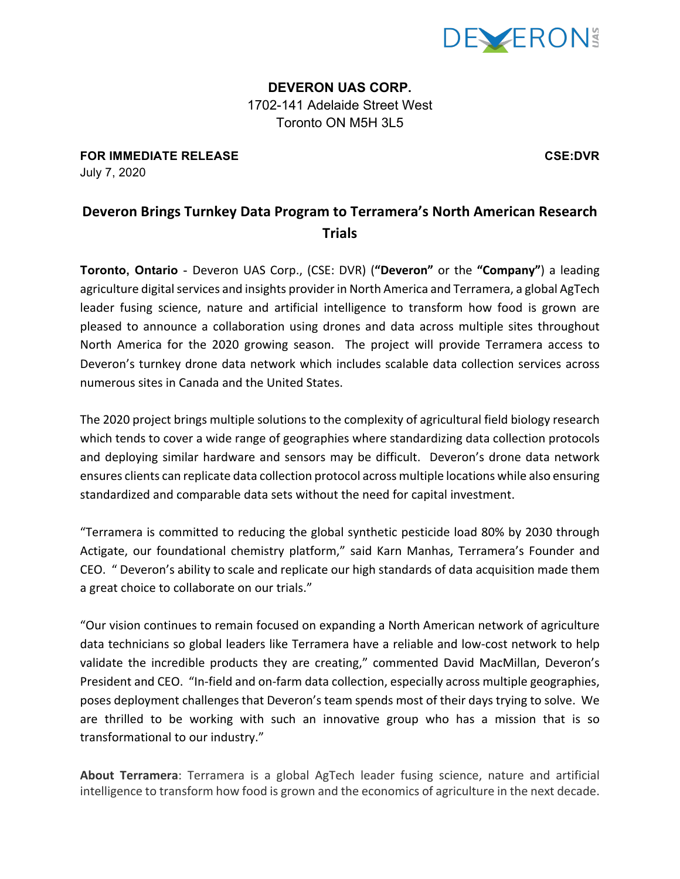

**DEVERON UAS CORP.** 1702-141 Adelaide Street West Toronto ON M5H 3L5

**FOR IMMEDIATE RELEASE CSE:DVR** July 7, 2020

**Deveron Brings Turnkey Data Program to Terramera's North American Research Trials**

**Toronto, Ontario** - Deveron UAS Corp., (CSE: DVR) ("Deveron" or the "Company") a leading agriculture digital services and insights provider in North America and Terramera, a global AgTech leader fusing science, nature and artificial intelligence to transform how food is grown are pleased to announce a collaboration using drones and data across multiple sites throughout North America for the 2020 growing season. The project will provide Terramera access to Deveron's turnkey drone data network which includes scalable data collection services across numerous sites in Canada and the United States.

The 2020 project brings multiple solutions to the complexity of agricultural field biology research which tends to cover a wide range of geographies where standardizing data collection protocols and deploying similar hardware and sensors may be difficult. Deveron's drone data network ensures clients can replicate data collection protocol across multiple locations while also ensuring standardized and comparable data sets without the need for capital investment.

"Terramera is committed to reducing the global synthetic pesticide load 80% by 2030 through Actigate, our foundational chemistry platform," said Karn Manhas, Terramera's Founder and CEO. " Deveron's ability to scale and replicate our high standards of data acquisition made them a great choice to collaborate on our trials."

"Our vision continues to remain focused on expanding a North American network of agriculture data technicians so global leaders like Terramera have a reliable and low-cost network to help validate the incredible products they are creating," commented David MacMillan, Deveron's President and CEO. "In-field and on-farm data collection, especially across multiple geographies, poses deployment challenges that Deveron's team spends most of their days trying to solve. We are thrilled to be working with such an innovative group who has a mission that is so transformational to our industry."

About Terramera: Terramera is a global AgTech leader fusing science, nature and artificial intelligence to transform how food is grown and the economics of agriculture in the next decade.